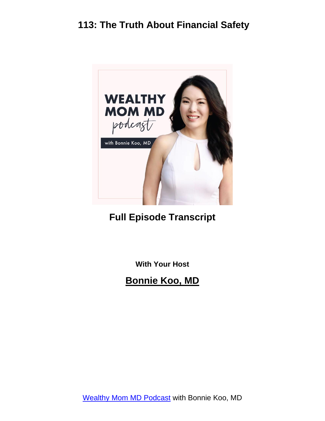

#### **Full Episode Transcript**

**With Your Host**

**Bonnie Koo, MD**

[Wealthy Mom MD Podcast](https://wealthymommd.com/podcast/) with Bonnie Koo, MD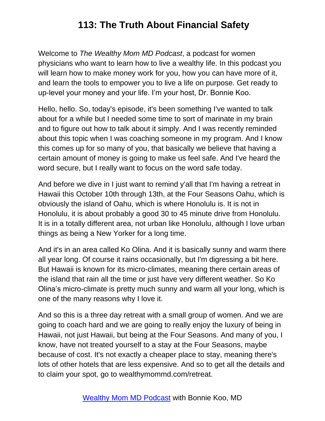Welcome to *The Wealthy Mom MD Podcast*, a podcast for women physicians who want to learn how to live a wealthy life. In this podcast you will learn how to make money work for you, how you can have more of it, and learn the tools to empower you to live a life on purpose. Get ready to up-level your money and your life. I'm your host, Dr. Bonnie Koo.

Hello, hello. So, today's episode, it's been something I've wanted to talk about for a while but I needed some time to sort of marinate in my brain and to figure out how to talk about it simply. And I was recently reminded about this topic when I was coaching someone in my program. And I know this comes up for so many of you, that basically we believe that having a certain amount of money is going to make us feel safe. And I've heard the word secure, but I really want to focus on the word safe today.

And before we dive in I just want to remind y'all that I'm having a retreat in Hawaii this October 10th through 13th, at the Four Seasons Oahu, which is obviously the island of Oahu, which is where Honolulu is. It is not in Honolulu, it is about probably a good 30 to 45 minute drive from Honolulu. It is in a totally different area, not urban like Honolulu, although I love urban things as being a New Yorker for a long time.

And it's in an area called Ko Olina. And it is basically sunny and warm there all year long. Of course it rains occasionally, but I'm digressing a bit here. But Hawaii is known for its micro-climates, meaning there certain areas of the island that rain all the time or just have very different weather. So Ko Olina's micro-climate is pretty much sunny and warm all your long, which is one of the many reasons why I love it.

And so this is a three day retreat with a small group of women. And we are going to coach hard and we are going to really enjoy the luxury of being in Hawaii, not just Hawaii, but being at the Four Seasons. And many of you, I know, have not treated yourself to a stay at the Four Seasons, maybe because of cost. It's not exactly a cheaper place to stay, meaning there's lots of other hotels that are less expensive. And so to get all the details and to claim your spot, go to wealthymommd.com/retreat.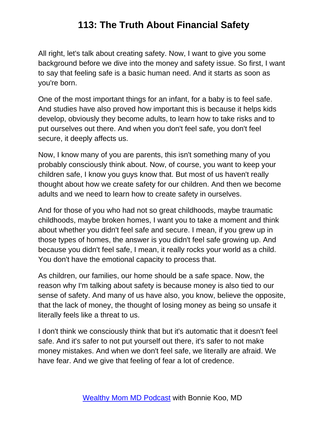All right, let's talk about creating safety. Now, I want to give you some background before we dive into the money and safety issue. So first, I want to say that feeling safe is a basic human need. And it starts as soon as you're born.

One of the most important things for an infant, for a baby is to feel safe. And studies have also proved how important this is because it helps kids develop, obviously they become adults, to learn how to take risks and to put ourselves out there. And when you don't feel safe, you don't feel secure, it deeply affects us.

Now, I know many of you are parents, this isn't something many of you probably consciously think about. Now, of course, you want to keep your children safe, I know you guys know that. But most of us haven't really thought about how we create safety for our children. And then we become adults and we need to learn how to create safety in ourselves.

And for those of you who had not so great childhoods, maybe traumatic childhoods, maybe broken homes, I want you to take a moment and think about whether you didn't feel safe and secure. I mean, if you grew up in those types of homes, the answer is you didn't feel safe growing up. And because you didn't feel safe, I mean, it really rocks your world as a child. You don't have the emotional capacity to process that.

As children, our families, our home should be a safe space. Now, the reason why I'm talking about safety is because money is also tied to our sense of safety. And many of us have also, you know, believe the opposite, that the lack of money, the thought of losing money as being so unsafe it literally feels like a threat to us.

I don't think we consciously think that but it's automatic that it doesn't feel safe. And it's safer to not put yourself out there, it's safer to not make money mistakes. And when we don't feel safe, we literally are afraid. We have fear. And we give that feeling of fear a lot of credence.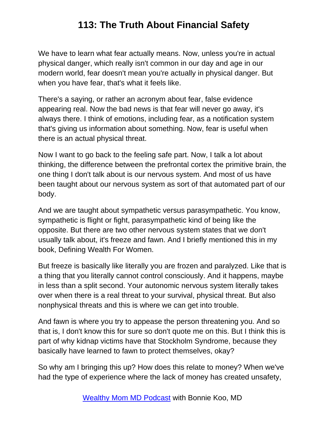We have to learn what fear actually means. Now, unless you're in actual physical danger, which really isn't common in our day and age in our modern world, fear doesn't mean you're actually in physical danger. But when you have fear, that's what it feels like.

There's a saying, or rather an acronym about fear, false evidence appearing real. Now the bad news is that fear will never go away, it's always there. I think of emotions, including fear, as a notification system that's giving us information about something. Now, fear is useful when there is an actual physical threat.

Now I want to go back to the feeling safe part. Now, I talk a lot about thinking, the difference between the prefrontal cortex the primitive brain, the one thing I don't talk about is our nervous system. And most of us have been taught about our nervous system as sort of that automated part of our body.

And we are taught about sympathetic versus parasympathetic. You know, sympathetic is flight or fight, parasympathetic kind of being like the opposite. But there are two other nervous system states that we don't usually talk about, it's freeze and fawn. And I briefly mentioned this in my book, Defining Wealth For Women.

But freeze is basically like literally you are frozen and paralyzed. Like that is a thing that you literally cannot control consciously. And it happens, maybe in less than a split second. Your autonomic nervous system literally takes over when there is a real threat to your survival, physical threat. But also nonphysical threats and this is where we can get into trouble.

And fawn is where you try to appease the person threatening you. And so that is, I don't know this for sure so don't quote me on this. But I think this is part of why kidnap victims have that Stockholm Syndrome, because they basically have learned to fawn to protect themselves, okay?

So why am I bringing this up? How does this relate to money? When we've had the type of experience where the lack of money has created unsafety,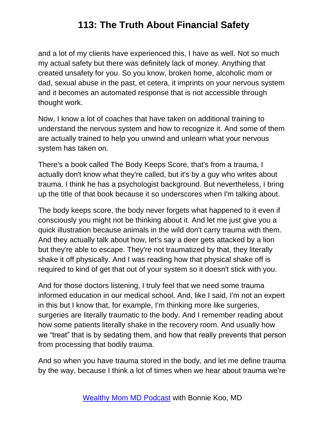and a lot of my clients have experienced this, I have as well. Not so much my actual safety but there was definitely lack of money. Anything that created unsafety for you. So you know, broken home, alcoholic mom or dad, sexual abuse in the past, et cetera, it imprints on your nervous system and it becomes an automated response that is not accessible through thought work.

Now, I know a lot of coaches that have taken on additional training to understand the nervous system and how to recognize it. And some of them are actually trained to help you unwind and unlearn what your nervous system has taken on.

There's a book called The Body Keeps Score, that's from a trauma, I actually don't know what they're called, but it's by a guy who writes about trauma. I think he has a psychologist background. But nevertheless, I bring up the title of that book because it so underscores when I'm talking about.

The body keeps score, the body never forgets what happened to it even if consciously you might not be thinking about it. And let me just give you a quick illustration because animals in the wild don't carry trauma with them. And they actually talk about how, let's say a deer gets attacked by a lion but they're able to escape. They're not traumatized by that, they literally shake it off physically. And I was reading how that physical shake off is required to kind of get that out of your system so it doesn't stick with you.

And for those doctors listening, I truly feel that we need some trauma informed education in our medical school. And, like I said, I'm not an expert in this but I know that, for example, I'm thinking more like surgeries, surgeries are literally traumatic to the body. And I remember reading about how some patients literally shake in the recovery room. And usually how we "treat" that is by sedating them, and how that really prevents that person from processing that bodily trauma.

And so when you have trauma stored in the body, and let me define trauma by the way, because I think a lot of times when we hear about trauma we're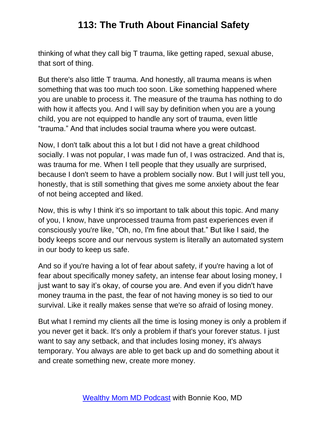thinking of what they call big T trauma, like getting raped, sexual abuse, that sort of thing.

But there's also little T trauma. And honestly, all trauma means is when something that was too much too soon. Like something happened where you are unable to process it. The measure of the trauma has nothing to do with how it affects you. And I will say by definition when you are a young child, you are not equipped to handle any sort of trauma, even little "trauma." And that includes social trauma where you were outcast.

Now, I don't talk about this a lot but I did not have a great childhood socially. I was not popular, I was made fun of, I was ostracized. And that is, was trauma for me. When I tell people that they usually are surprised, because I don't seem to have a problem socially now. But I will just tell you, honestly, that is still something that gives me some anxiety about the fear of not being accepted and liked.

Now, this is why I think it's so important to talk about this topic. And many of you, I know, have unprocessed trauma from past experiences even if consciously you're like, "Oh, no, I'm fine about that." But like I said, the body keeps score and our nervous system is literally an automated system in our body to keep us safe.

And so if you're having a lot of fear about safety, if you're having a lot of fear about specifically money safety, an intense fear about losing money, I just want to say it's okay, of course you are. And even if you didn't have money trauma in the past, the fear of not having money is so tied to our survival. Like it really makes sense that we're so afraid of losing money.

But what I remind my clients all the time is losing money is only a problem if you never get it back. It's only a problem if that's your forever status. I just want to say any setback, and that includes losing money, it's always temporary. You always are able to get back up and do something about it and create something new, create more money.